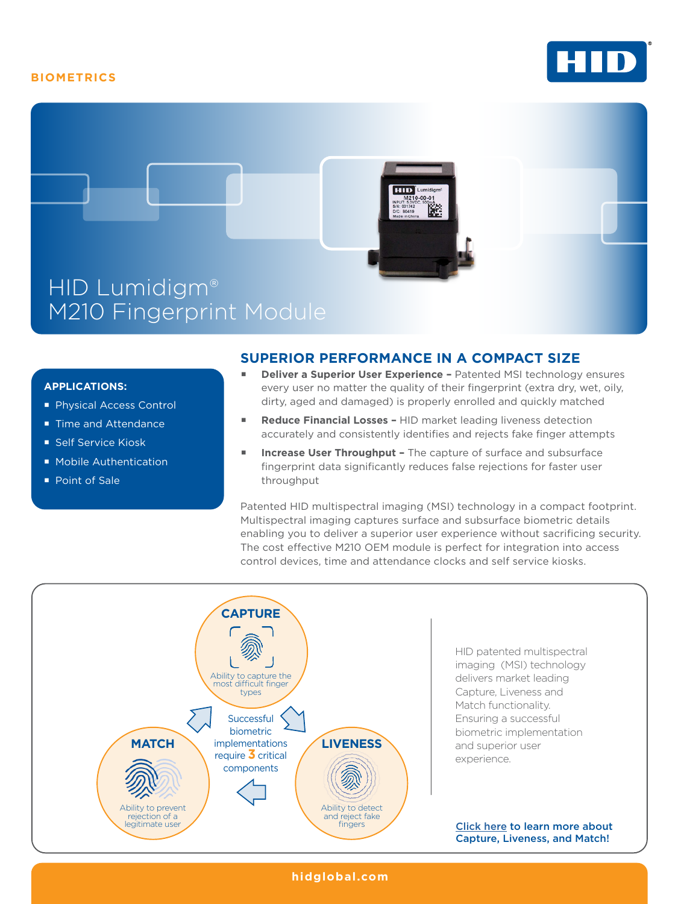## **BIOMETRICS**





### **APPLICATIONS:**

- **Physical Access Control**
- Time and Attendance
- Self Service Kiosk
- **Mobile Authentication**
- Point of Sale

## **SUPERIOR PERFORMANCE IN A COMPACT SIZE**

- **Deliver a Superior User Experience** Patented MSI technology ensures every user no matter the quality of their fingerprint (extra dry, wet, oily, dirty, aged and damaged) is properly enrolled and quickly matched
- **Reduce Financial Losses** HID market leading liveness detection accurately and consistently identifies and rejects fake finger attempts
- **Increase User Throughput** The capture of surface and subsurface fingerprint data significantly reduces false rejections for faster user throughput

Patented HID multispectral imaging (MSI) technology in a compact footprint. Multispectral imaging captures surface and subsurface biometric details enabling you to deliver a superior user experience without sacrificing security. The cost effective M210 OEM module is perfect for integration into access control devices, time and attendance clocks and self service kiosks.



**hidglobal.com**